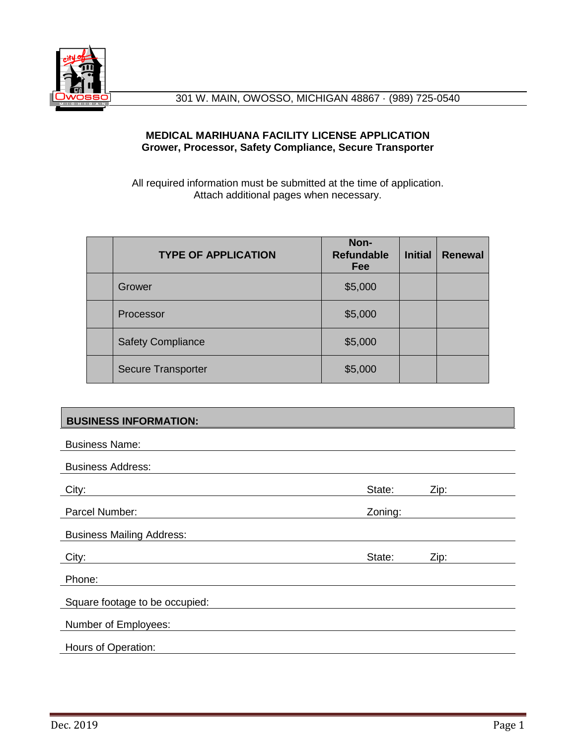

### **MEDICAL MARIHUANA FACILITY LICENSE APPLICATION Grower, Processor, Safety Compliance, Secure Transporter**

All required information must be submitted at the time of application. Attach additional pages when necessary.

| <b>TYPE OF APPLICATION</b> | Non-<br><b>Refundable</b><br>Fee | <b>Initial</b> | <b>Renewal</b> |
|----------------------------|----------------------------------|----------------|----------------|
| Grower                     | \$5,000                          |                |                |
| Processor                  | \$5,000                          |                |                |
| <b>Safety Compliance</b>   | \$5,000                          |                |                |
| <b>Secure Transporter</b>  | \$5,000                          |                |                |

## **BUSINESS INFORMATION:**

| <b>Business Name:</b>            |         |      |
|----------------------------------|---------|------|
| <b>Business Address:</b>         |         |      |
| City:                            | State:  | Zip: |
| Parcel Number:                   | Zoning: |      |
| <b>Business Mailing Address:</b> |         |      |
| City:                            | State:  | Zip: |
|                                  |         |      |
| Phone:                           |         |      |
| Square footage to be occupied:   |         |      |
| Number of Employees:             |         |      |
| Hours of Operation:              |         |      |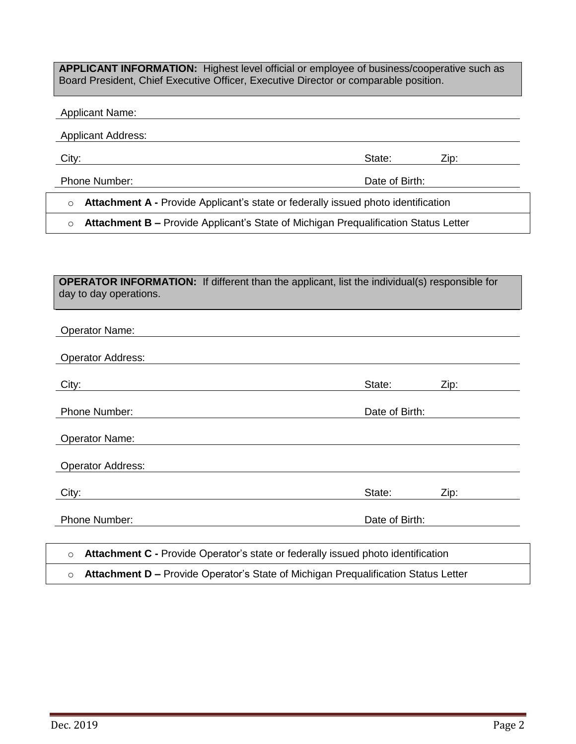**APPLICANT INFORMATION:** Highest level official or employee of business/cooperative such as Board President, Chief Executive Officer, Executive Director or comparable position.

#### Applicant Name:

**Applicant Address:** 

City: City: City: City: City: City: City: City: City: City: City: City: City: City: City: City: City: City: City: City: City: City: City: City: City: City: City: City: City: City: City: City: City: City: City: City: City:

Phone Number: Date of Birth:

o **Attachment A -** Provide Applicant's state or federally issued photo identification

o **Attachment B –** Provide Applicant's State of Michigan Prequalification Status Letter

|                        | <b>OPERATOR INFORMATION:</b> If different than the applicant, list the individual(s) responsible for |
|------------------------|------------------------------------------------------------------------------------------------------|
| day to day operations. |                                                                                                      |

| <b>Operator Name:</b>                                                                         |                |      |  |
|-----------------------------------------------------------------------------------------------|----------------|------|--|
| <b>Operator Address:</b>                                                                      |                |      |  |
| City:                                                                                         | State:         | Zip: |  |
| <b>Phone Number:</b>                                                                          | Date of Birth: |      |  |
| <b>Operator Name:</b>                                                                         |                |      |  |
| <b>Operator Address:</b>                                                                      |                |      |  |
| City:                                                                                         | State:         | Zip: |  |
| <b>Phone Number:</b>                                                                          | Date of Birth: |      |  |
| Attachment C - Provide Operator's state or federally issued photo identification<br>$\circ$   |                |      |  |
| Attachment D - Provide Operator's State of Michigan Prequalification Status Letter<br>$\circ$ |                |      |  |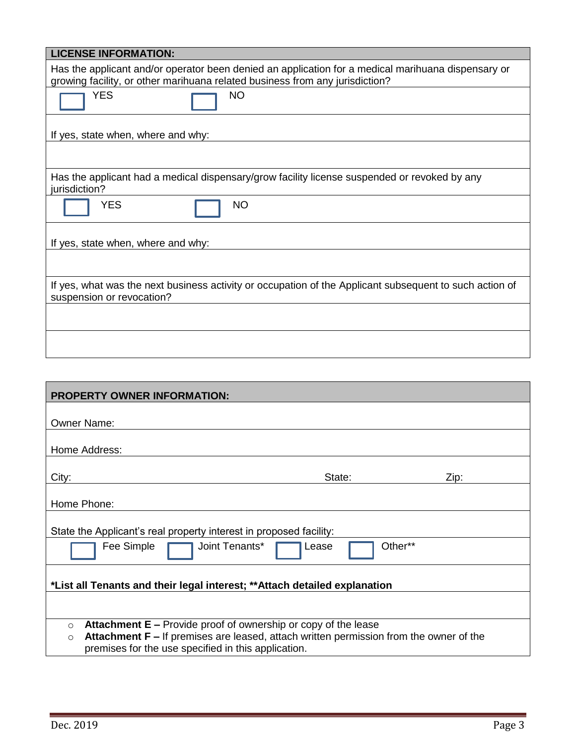| <b>LICENSE INFORMATION:</b>                                                                                                                                                        |  |  |  |
|------------------------------------------------------------------------------------------------------------------------------------------------------------------------------------|--|--|--|
| Has the applicant and/or operator been denied an application for a medical marihuana dispensary or<br>growing facility, or other marihuana related business from any jurisdiction? |  |  |  |
| <b>YES</b><br><b>NO</b>                                                                                                                                                            |  |  |  |
| If yes, state when, where and why:                                                                                                                                                 |  |  |  |
|                                                                                                                                                                                    |  |  |  |
| Has the applicant had a medical dispensary/grow facility license suspended or revoked by any<br>jurisdiction?                                                                      |  |  |  |
| <b>YES</b><br><b>NO</b>                                                                                                                                                            |  |  |  |
| If yes, state when, where and why:                                                                                                                                                 |  |  |  |
|                                                                                                                                                                                    |  |  |  |
| If yes, what was the next business activity or occupation of the Applicant subsequent to such action of<br>suspension or revocation?                                               |  |  |  |
|                                                                                                                                                                                    |  |  |  |
|                                                                                                                                                                                    |  |  |  |

| <b>PROPERTY OWNER INFORMATION:</b>                                                                                                                        |  |  |  |
|-----------------------------------------------------------------------------------------------------------------------------------------------------------|--|--|--|
|                                                                                                                                                           |  |  |  |
| <b>Owner Name:</b>                                                                                                                                        |  |  |  |
| Home Address:                                                                                                                                             |  |  |  |
|                                                                                                                                                           |  |  |  |
| State:<br>Zip:<br>City:                                                                                                                                   |  |  |  |
| Home Phone:                                                                                                                                               |  |  |  |
| State the Applicant's real property interest in proposed facility:                                                                                        |  |  |  |
| Joint Tenants*<br>Other**<br>Fee Simple<br>Lease                                                                                                          |  |  |  |
| *List all Tenants and their legal interest; ** Attach detailed explanation                                                                                |  |  |  |
|                                                                                                                                                           |  |  |  |
| <b>Attachment <math>E</math> – Provide proof of ownership or copy of the lease</b><br>$\circ$                                                             |  |  |  |
| Attachment F - If premises are leased, attach written permission from the owner of the<br>$\Omega$<br>premises for the use specified in this application. |  |  |  |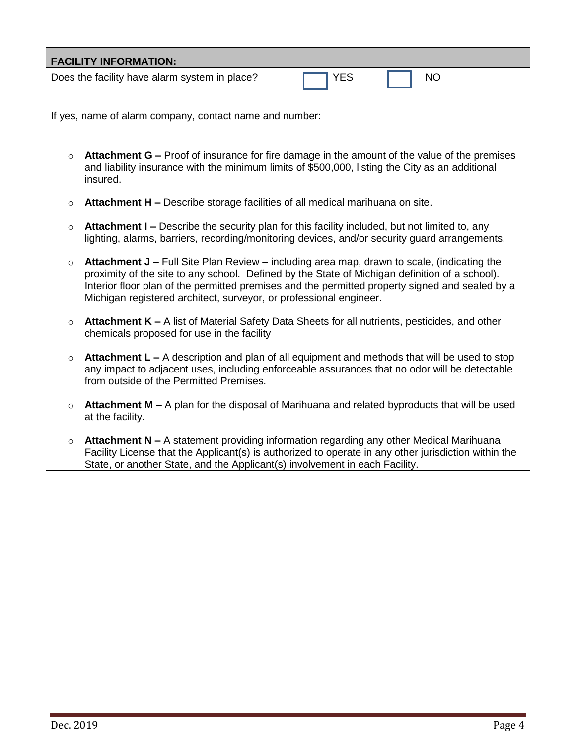| <b>FACILITY INFORMATION:</b>                            |                                                                                                                                                                                                                                                                                                                                                                       |  |  |
|---------------------------------------------------------|-----------------------------------------------------------------------------------------------------------------------------------------------------------------------------------------------------------------------------------------------------------------------------------------------------------------------------------------------------------------------|--|--|
|                                                         | Does the facility have alarm system in place?<br><b>YES</b><br><b>NO</b>                                                                                                                                                                                                                                                                                              |  |  |
| If yes, name of alarm company, contact name and number: |                                                                                                                                                                                                                                                                                                                                                                       |  |  |
|                                                         |                                                                                                                                                                                                                                                                                                                                                                       |  |  |
| $\circ$                                                 | Attachment G – Proof of insurance for fire damage in the amount of the value of the premises<br>and liability insurance with the minimum limits of \$500,000, listing the City as an additional<br>insured.                                                                                                                                                           |  |  |
| $\circ$                                                 | Attachment H - Describe storage facilities of all medical marihuana on site.                                                                                                                                                                                                                                                                                          |  |  |
| $\circ$                                                 | Attachment I - Describe the security plan for this facility included, but not limited to, any<br>lighting, alarms, barriers, recording/monitoring devices, and/or security guard arrangements.                                                                                                                                                                        |  |  |
| $\circ$                                                 | Attachment J - Full Site Plan Review - including area map, drawn to scale, (indicating the<br>proximity of the site to any school. Defined by the State of Michigan definition of a school).<br>Interior floor plan of the permitted premises and the permitted property signed and sealed by a<br>Michigan registered architect, surveyor, or professional engineer. |  |  |
| $\circ$                                                 | Attachment K - A list of Material Safety Data Sheets for all nutrients, pesticides, and other<br>chemicals proposed for use in the facility                                                                                                                                                                                                                           |  |  |
| $\circ$                                                 | Attachment L – A description and plan of all equipment and methods that will be used to stop<br>any impact to adjacent uses, including enforceable assurances that no odor will be detectable<br>from outside of the Permitted Premises.                                                                                                                              |  |  |
| $\circ$                                                 | Attachment M – A plan for the disposal of Marihuana and related byproducts that will be used<br>at the facility.                                                                                                                                                                                                                                                      |  |  |
| $\circ$                                                 | Attachment N - A statement providing information regarding any other Medical Marihuana<br>Facility License that the Applicant(s) is authorized to operate in any other jurisdiction within the<br>State, or another State, and the Applicant(s) involvement in each Facility.                                                                                         |  |  |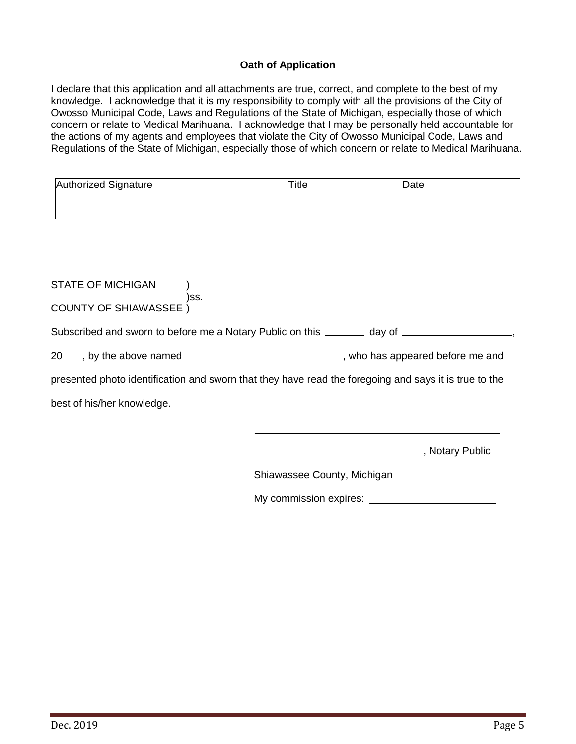### **Oath of Application**

I declare that this application and all attachments are true, correct, and complete to the best of my knowledge. I acknowledge that it is my responsibility to comply with all the provisions of the City of Owosso Municipal Code, Laws and Regulations of the State of Michigan, especially those of which concern or relate to Medical Marihuana. I acknowledge that I may be personally held accountable for the actions of my agents and employees that violate the City of Owosso Municipal Code, Laws and Regulations of the State of Michigan, especially those of which concern or relate to Medical Marihuana.

| <b>Authorized Signature</b> | <b>Title</b> | Date |
|-----------------------------|--------------|------|
|                             |              |      |
|                             |              |      |

| STATE OF MICHIGAN                                                                                     |                                                                                                         |  |  |
|-------------------------------------------------------------------------------------------------------|---------------------------------------------------------------------------------------------------------|--|--|
| )SS.<br><b>COUNTY OF SHIAWASSEE</b> )                                                                 |                                                                                                         |  |  |
|                                                                                                       | Subscribed and sworn to before me a Notary Public on this _______ day of __________________________     |  |  |
|                                                                                                       | 20 <sub>___</sub> , by the above named ________________________________, who has appeared before me and |  |  |
| presented photo identification and sworn that they have read the foregoing and says it is true to the |                                                                                                         |  |  |
| best of his/her knowledge.                                                                            |                                                                                                         |  |  |
|                                                                                                       |                                                                                                         |  |  |
|                                                                                                       | , Notary Public                                                                                         |  |  |
|                                                                                                       | Shiawassee County, Michigan                                                                             |  |  |
|                                                                                                       | My commission expires:                                                                                  |  |  |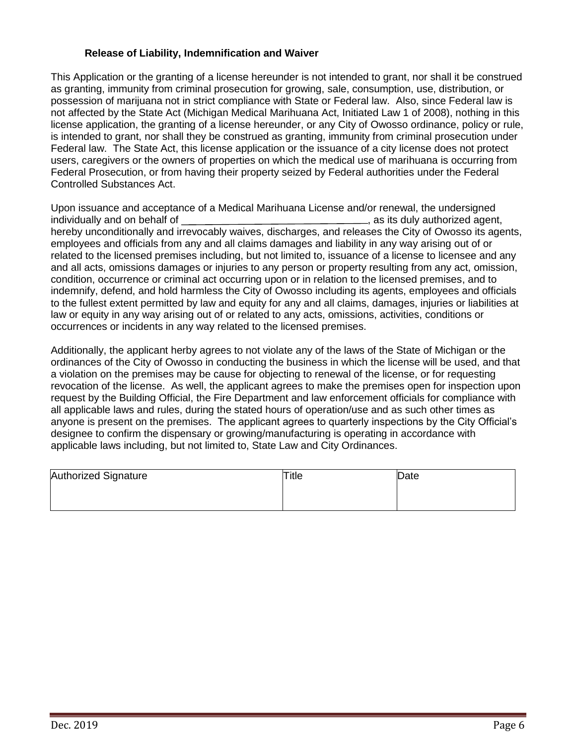#### **Release of Liability, Indemnification and Waiver**

This Application or the granting of a license hereunder is not intended to grant, nor shall it be construed as granting, immunity from criminal prosecution for growing, sale, consumption, use, distribution, or possession of marijuana not in strict compliance with State or Federal law. Also, since Federal law is not affected by the State Act (Michigan Medical Marihuana Act, Initiated Law 1 of 2008), nothing in this license application, the granting of a license hereunder, or any City of Owosso ordinance, policy or rule, is intended to grant, nor shall they be construed as granting, immunity from criminal prosecution under Federal law. The State Act, this license application or the issuance of a city license does not protect users, caregivers or the owners of properties on which the medical use of marihuana is occurring from Federal Prosecution, or from having their property seized by Federal authorities under the Federal Controlled Substances Act.

Upon issuance and acceptance of a Medical Marihuana License and/or renewal, the undersigned individually and on behalf of  $\blacksquare$ , as its duly authorized agent, hereby unconditionally and irrevocably waives, discharges, and releases the City of Owosso its agents, employees and officials from any and all claims damages and liability in any way arising out of or related to the licensed premises including, but not limited to, issuance of a license to licensee and any and all acts, omissions damages or injuries to any person or property resulting from any act, omission, condition, occurrence or criminal act occurring upon or in relation to the licensed premises, and to indemnify, defend, and hold harmless the City of Owosso including its agents, employees and officials to the fullest extent permitted by law and equity for any and all claims, damages, injuries or liabilities at law or equity in any way arising out of or related to any acts, omissions, activities, conditions or occurrences or incidents in any way related to the licensed premises.

Additionally, the applicant herby agrees to not violate any of the laws of the State of Michigan or the ordinances of the City of Owosso in conducting the business in which the license will be used, and that a violation on the premises may be cause for objecting to renewal of the license, or for requesting revocation of the license. As well, the applicant agrees to make the premises open for inspection upon request by the Building Official, the Fire Department and law enforcement officials for compliance with all applicable laws and rules, during the stated hours of operation/use and as such other times as anyone is present on the premises. The applicant agrees to quarterly inspections by the City Official's designee to confirm the dispensary or growing/manufacturing is operating in accordance with applicable laws including, but not limited to, State Law and City Ordinances.

| Authorized Signature | Title | Date |
|----------------------|-------|------|
|                      |       |      |
|                      |       |      |